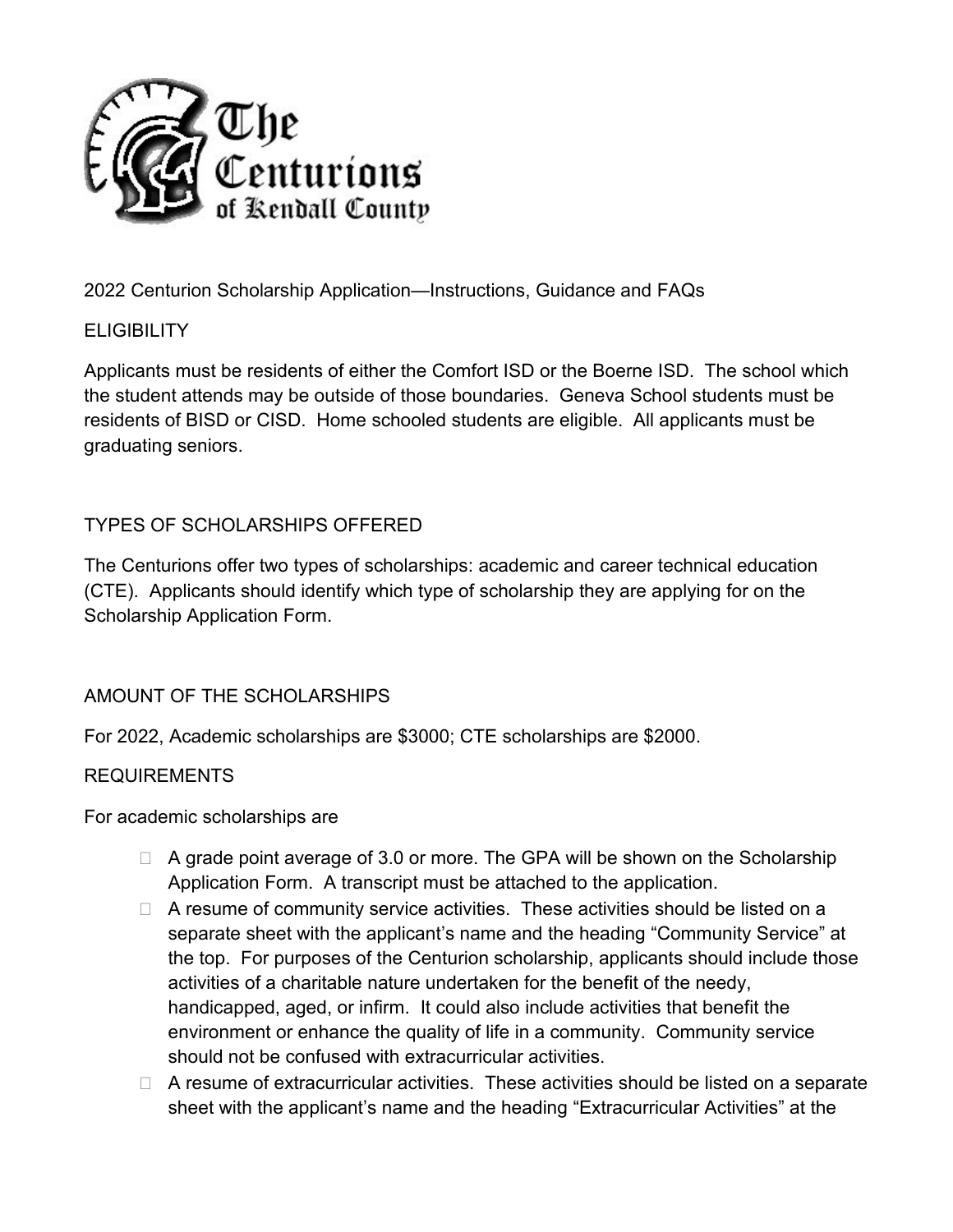

2022 Centurion Scholarship Application—Instructions, Guidance and FAQs

## **ELIGIBILITY**

Applicants must be residents of either the Comfort ISD or the Boerne ISD. The school which the student attends may be outside of those boundaries. Geneva School students must be residents of BISD or CISD. Home schooled students are eligible. All applicants must be graduating seniors.

## TYPES OF SCHOLARSHIPS OFFERED

The Centurions offer two types of scholarships: academic and career technical education (CTE). Applicants should identify which type of scholarship they are applying for on the Scholarship Application Form.

## AMOUNT OF THE SCHOLARSHIPS

For 2022, Academic scholarships are \$3000; CTE scholarships are \$2000.

### REQUIREMENTS

For academic scholarships are

- $\Box$  A grade point average of 3.0 or more. The GPA will be shown on the Scholarship Application Form. A transcript must be attached to the application.
- $\Box$  A resume of community service activities. These activities should be listed on a separate sheet with the applicant's name and the heading "Community Service" at the top. For purposes of the Centurion scholarship, applicants should include those activities of a charitable nature undertaken for the benefit of the needy, handicapped, aged, or infirm. It could also include activities that benefit the environment or enhance the quality of life in a community. Community service should not be confused with extracurricular activities.
- $\Box$  A resume of extracurricular activities. These activities should be listed on a separate sheet with the applicant's name and the heading "Extracurricular Activities" at the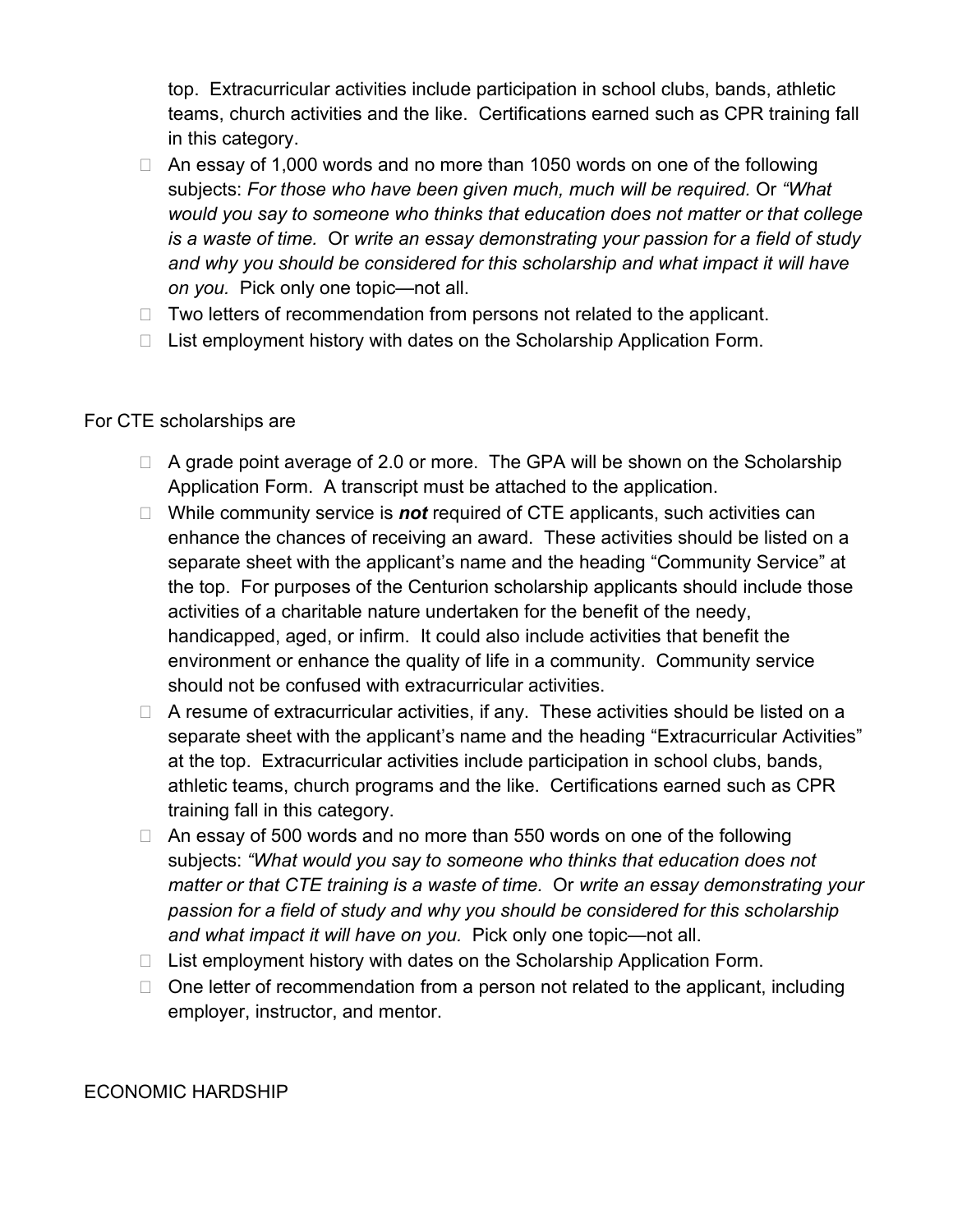top. Extracurricular activities include participation in school clubs, bands, athletic teams, church activities and the like. Certifications earned such as CPR training fall in this category.

- $\Box$  An essay of 1,000 words and no more than 1050 words on one of the following subjects: *For those who have been given much, much will be required.* Or *"What would you say to someone who thinks that education does not matter or that college is a waste of time.* Or *write an essay demonstrating your passion for a field of study and why you should be considered for this scholarship and what impact it will have on you.* Pick only one topic—not all.
- $\Box$  Two letters of recommendation from persons not related to the applicant.
- $\Box$  List employment history with dates on the Scholarship Application Form.

#### For CTE scholarships are

- $\Box$  A grade point average of 2.0 or more. The GPA will be shown on the Scholarship Application Form. A transcript must be attached to the application.
- □ While community service is **not** required of CTE applicants, such activities can enhance the chances of receiving an award. These activities should be listed on a separate sheet with the applicant's name and the heading "Community Service" at the top. For purposes of the Centurion scholarship applicants should include those activities of a charitable nature undertaken for the benefit of the needy, handicapped, aged, or infirm. It could also include activities that benefit the environment or enhance the quality of life in a community. Community service should not be confused with extracurricular activities.
- $\Box$  A resume of extracurricular activities, if any. These activities should be listed on a separate sheet with the applicant's name and the heading "Extracurricular Activities" at the top. Extracurricular activities include participation in school clubs, bands, athletic teams, church programs and the like. Certifications earned such as CPR training fall in this category.
- $\Box$  An essay of 500 words and no more than 550 words on one of the following subjects: *"What would you say to someone who thinks that education does not matter or that CTE training is a waste of time.* Or *write an essay demonstrating your passion for a field of study and why you should be considered for this scholarship and what impact it will have on you.* Pick only one topic—not all.
- $\Box$  List employment history with dates on the Scholarship Application Form.
- $\Box$  One letter of recommendation from a person not related to the applicant, including employer, instructor, and mentor.

#### ECONOMIC HARDSHIP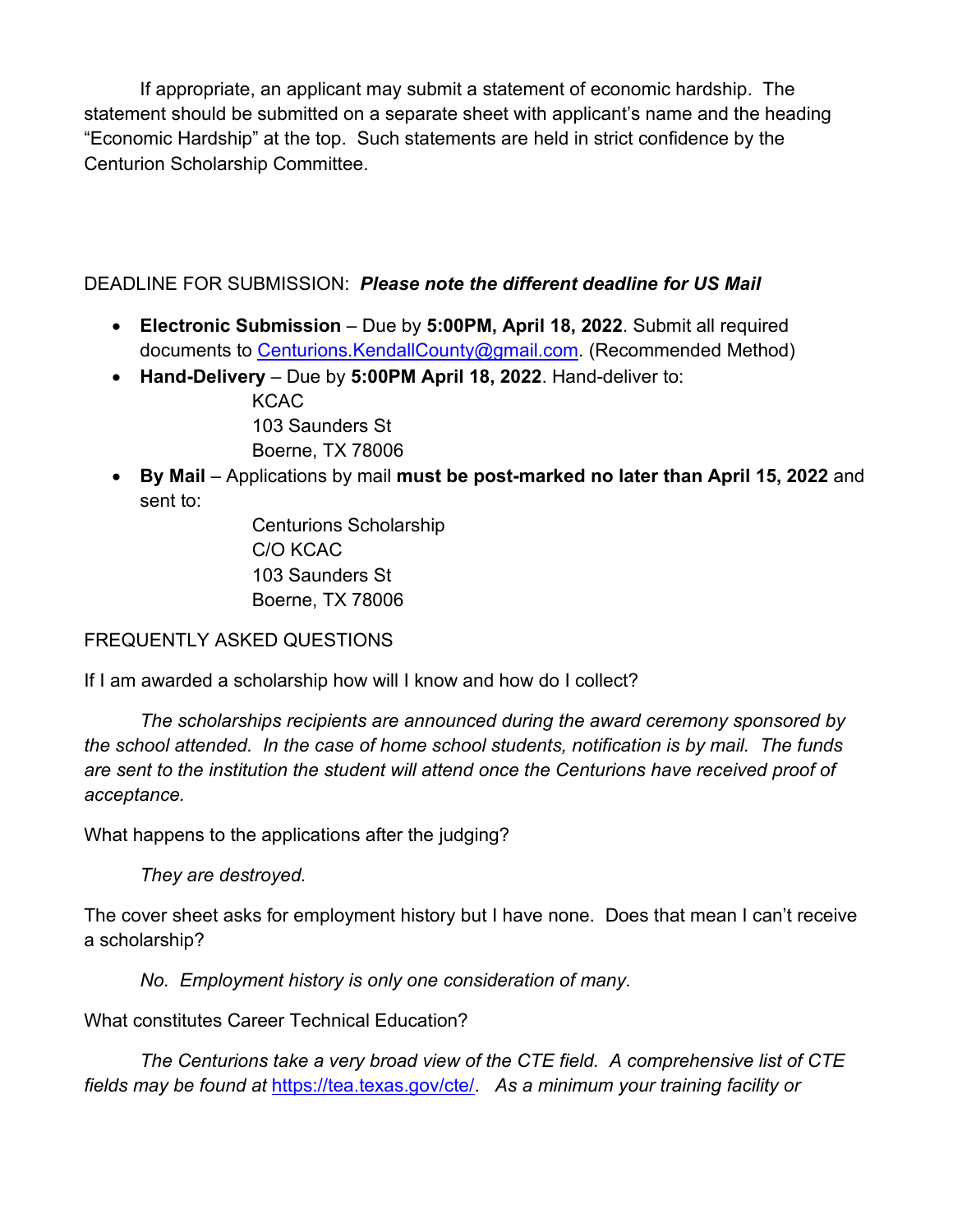If appropriate, an applicant may submit a statement of economic hardship. The statement should be submitted on a separate sheet with applicant's name and the heading "Economic Hardship" at the top. Such statements are held in strict confidence by the Centurion Scholarship Committee.

## DEADLINE FOR SUBMISSION: *Please note the different deadline for US Mail*

- **Electronic Submission** Due by **5:00PM, April 18, 2022**. Submit all required documents to [Centurions.KendallCounty@gmail.com.](mailto:Centurions.KendallCounty@gmail.com) (Recommended Method)
- **Hand-Delivery** Due by **5:00PM April 18, 2022**. Hand-deliver to: KCAC 103 Saunders St

Boerne, TX 78006

• **By Mail** – Applications by mail **must be post-marked no later than April 15, 2022** and sent to:

> Centurions Scholarship C/O KCAC 103 Saunders St Boerne, TX 78006

## FREQUENTLY ASKED QUESTIONS

If I am awarded a scholarship how will I know and how do I collect?

*The scholarships recipients are announced during the award ceremony sponsored by the school attended. In the case of home school students, notification is by mail. The funds are sent to the institution the student will attend once the Centurions have received proof of acceptance.*

What happens to the applications after the judging?

*They are destroyed.*

The cover sheet asks for employment history but I have none. Does that mean I can't receive a scholarship?

*No. Employment history is only one consideration of many.*

What constitutes Career Technical Education?

*The Centurions take a very broad view of the CTE field. A comprehensive list of CTE fields may be found at* [https://tea.texas.gov/cte/.](https://tea.texas.gov/cte/) *As a minimum your training facility or*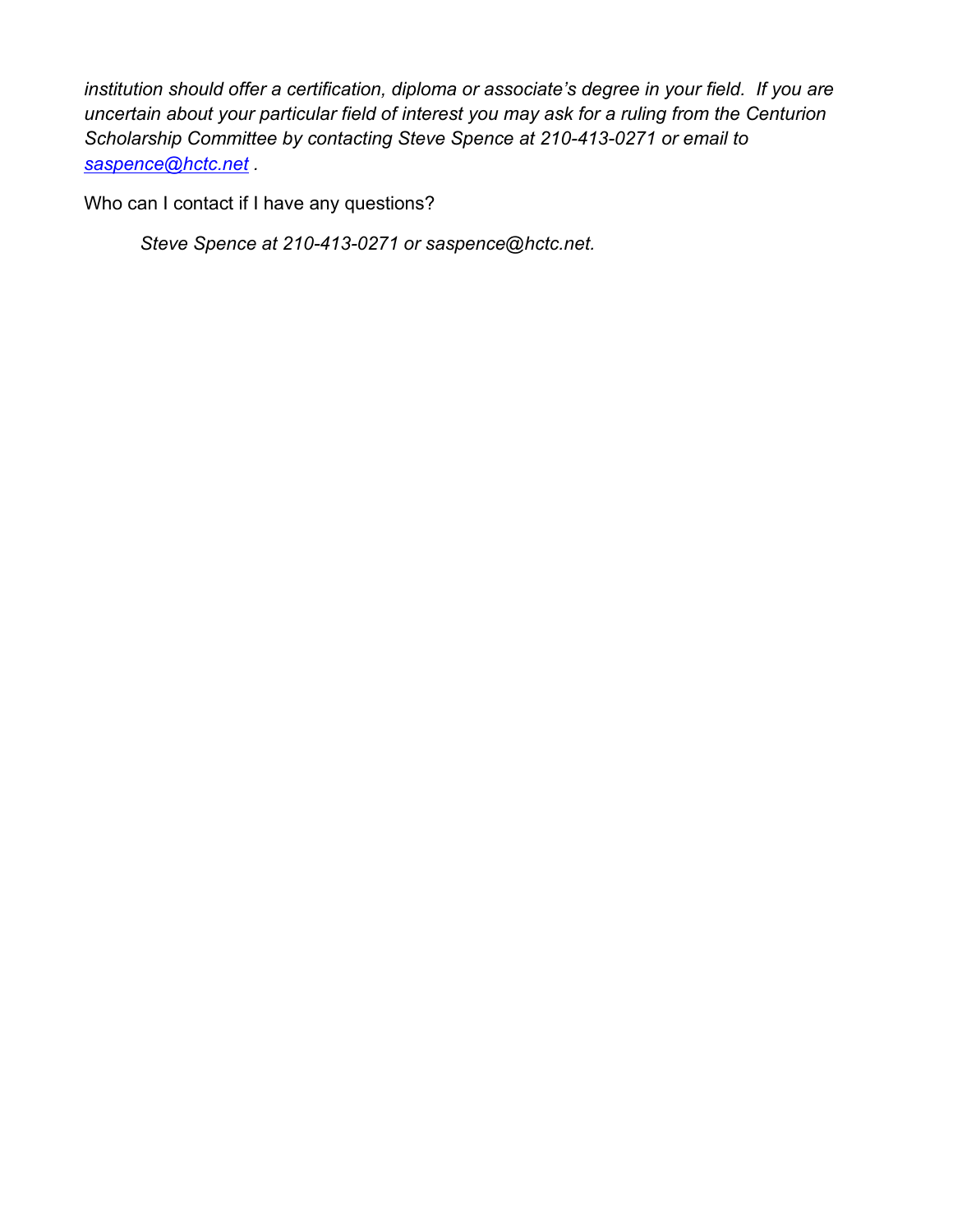*institution should offer a certification, diploma or associate's degree in your field. If you are uncertain about your particular field of interest you may ask for a ruling from the Centurion Scholarship Committee by contacting Steve Spence at 210-413-0271 or email to [saspence@hctc.net](mailto:saspence@hctc.net) .*

Who can I contact if I have any questions?

*Steve Spence at 210-413-0271 or saspence@hctc.net.*